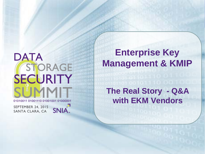# **DATA** STORAGE SECURITY 01010011 01001110 01001001 01000001

**SEPTEMBER 24, 2015** SANTA CLARA, CA SNIA.

**Enterprise Key Management & KMIP**

**The Real Story - Q&A with EKM Vendors**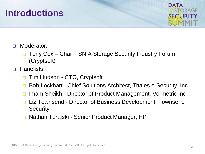## **Introductions**



- **D** Moderator:
	- □ Tony Cox Chair SNIA Storage Security Industry Forum (Cryptsoft)
- **D** Panelists:
	- **□** Tim Hudson CTO, Cryptsoft
	- **□ Bob Lockhart Chief Solutions Architect, Thales e-Security, Inc**
	- **□ Imam Sheikh Director of Product Management, Vormetric Inc**
	- **□ Liz Townsend Director of Business Development, Townsend Security**
	- □ Nathan Turajski Senior Product Manager, HP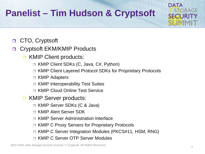## **Panelist – Tim Hudson & Cryptsoft**

□ CTO, Cryptsoft

Cryptsoft EKM/KMIP Products

- **D** KMIP Client products:
	- KMIP Client SDKs (C, Java, C#, Python)
	- KMIP Client Layered Protocol SDKs for Proprietary Protocols
	- KMIP Adapters
	- □ KMIP Interoperability Test Suites
	- □ KMIP Cloud Online Test Service
- **D** KMIP Server products:
	- KMIP Server SDKs (C & Java)
	- KMIP Alert Server SDK
	- □ KMIP Server Administration Interface
	- KMIP C Proxy Servers for Proprietary Protocols
	- □ KMIP C Server Integration Modules (PKCS#11, HSM, RNG)
	- KMIP C Server OTP Server Modules

2015 SNIA Data Storage Security Summit. © Cryptsoft All Rights Reserved.

**DATA** 

**SECHIR**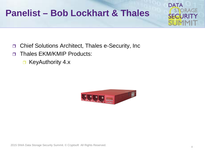## **Panelist – Bob Lockhart & Thales**



- **D** Thales EKM/KMIP Products:
	- □ KeyAuthority 4.x



**DATA** 

**SECHR**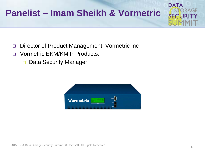## **Panelist – Imam Sheikh & Vormetric**

- □ Director of Product Management, Vormetric Inc
- n Vormetric EKM/KMIP Products:
	- Data Security Manager



**DATA**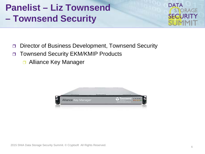## **Panelist – Liz Townsend – Townsend Security**



- Director of Business Development, Townsend Security
- □ Townsend Security EKM/KMIP Products
	- **D** Alliance Key Manager

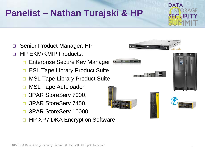## **Panelist – Nathan Turajski & HP**



- □ Senior Product Manager, HP
- **HP EKM/KMIP Products:** 
	- Enterprise Secure Key Manager
	- □ ESL Tape Library Product Suite
	- MSL Tape Library Product Suite
	- MSL Tape Autoloader,
	- □ 3PAR StoreServ 7000,
	- □ 3PAR StoreServ 7450,
	- □ 3PAR StoreServ 10000,
	- **HP XP7 DKA Encryption Software**

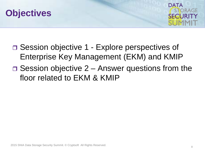



- □ Session objective 1 Explore perspectives of Enterprise Key Management (EKM) and KMIP
- $\Box$  Session objective 2 Answer questions from the floor related to EKM & KMIP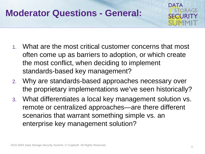## **Moderator Questions - General:**



- 1. What are the most critical customer concerns that most often come up as barriers to adoption, or which create the most conflict, when deciding to implement standards-based key management?
- 2. Why are standards-based approaches necessary over the proprietary implementations we've seen historically?
- 3. What differentiates a local key management solution vs. remote or centralized approaches—are there different scenarios that warrant something simple vs. an enterprise key management solution?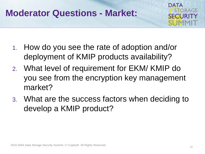## **Moderator Questions - Market:**



- 1. How do you see the rate of adoption and/or deployment of KMIP products availability?
- 2. What level of requirement for EKM/ KMIP do you see from the encryption key management market?
- 3. What are the success factors when deciding to develop a KMIP product?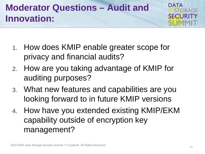## **Moderator Questions – Audit and Innovation:**



- 1. How does KMIP enable greater scope for privacy and financial audits?
- 2. How are you taking advantage of KMIP for auditing purposes?
- 3. What new features and capabilities are you looking forward to in future KMIP versions
- 4. How have you extended existing KMIP/EKM capability outside of encryption key management?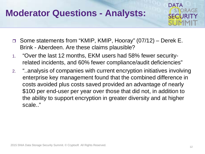## **Moderator Questions - Analysts:**



- Some statements from "KMIP, KMIP, Hooray" (07/12) Derek E. Brink - Aberdeen. Are these claims plausible?
- 1. "Over the last 12 months, EKM users had 58% fewer securityrelated incidents, and 60% fewer compliance/audit deficiencies"
- 2. "..analysis of companies with current encryption initiatives involving enterprise key management found that the combined difference in costs avoided plus costs saved provided an advantage of nearly \$100 per end-user per year over those that did not, in addition to the ability to support encryption in greater diversity and at higher scale.."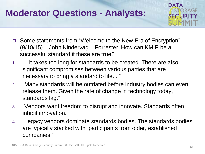## **Moderator Questions - Analysts:**



- □ Some statements from "Welcome to the New Era of Encryption" (9/10/15) – John Kindervag – Forrester. How can KMIP be a successful standard if these are true?
- 1. ".. it takes too long for standards to be created. There are also significant compromises between various parties that are necessary to bring a standard to life. .."
- 2. "Many standards will be outdated before industry bodies can even release them. Given the rate of change in technology today, standards lag."
- 3. "Vendors want freedom to disrupt and innovate. Standards often inhibit innovation."
- 4. "Legacy vendors dominate standards bodies. The standards bodies are typically stacked with participants from older, established companies."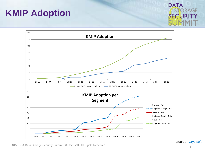## **KMIP Adoption**





Source - Cryptsoft

2015 SNIA Data Storage Security Summit. © Cryptsoft All Rights Reserved.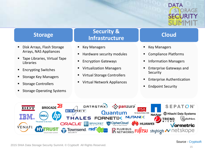# DATA

### **Storage**

- **Disk Arrays, Flash Storage** Arrays, NAS Appliances
- **Tape Libraries, Virtual Tape** Libraries
- **Encrypting Switches**
- **Storage Key Managers**
- **Storage Controllers**
- **Storage Operating Systems**

### **Security & Infrastructure**

- Key Managers
- **Hardware security modules**
- **Encryption Gateways**
- **Virtualization Managers**
- **Virtual Storage Controllers**
- Virtual Network Appliances

## **Cloud**

- Key Managers
- **Compliance Platforms**
- **Information Managers**
- **Enterprise Gateways and** Security
- **Enterprise Authentication**
- **Endpoint Security**

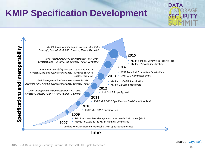## **KMIP Specification Development**

# **DATA**

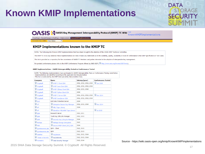## **Known KMIP Implementations**

# **DATA** ORAGE

#### **OASIS** Q OASIS Key Management Interoperability Protocol (KMIP) TC Wiki KnownKMIPImplementations

FrontPage RecentChanges FindPage HelpContents KnownKMIPImplementation

utable Page | Info | More Actions:

#### **KMIP Implementations known to the KMIP TC**

NOTE: The Following list of known KMIP implementations that have been brought to the attention of the OASIS KMIP Technical Committee.

The KMIP TC in no way endorses these implementations nor does it make any statements as to the suitability, quality, availability or level of conformance to the KMIP Specification or Test Cases.

This list is provided as a repository for the convenience of OASIS TC Members and parties interested in the adoption of interoperable key management.

For product conformance please refer to the KMIP Conformance Program offered by SNIA SSIF ( itp://www.snia.org/forums/SSIF/kmip).

#### KMIP Implementations - OASIS Interoperability Tested or Conformance Tested

NOTE: The following implementations have participated in OASIS Interoperability Tests or Conformance Testing noted below. -Implementations are identified according to the applicable test documentation. -This list is moderated by the KMIP Interoperability Subcommittee Chair.

| Company              | <b>Name</b>                        | <b>Interop (year)</b>  | <b>Conformance Tested</b> |
|----------------------|------------------------------------|------------------------|---------------------------|
| Cryptsoft            | KMIP C Client SDK                  | 2011, 2012, 2013, 2014 | <b>D</b> Jan 2015         |
| Cryptsoft            | KMIP Java Client SDK               | 2011, 2012, 2013, 2014 |                           |
| Cryptsoft            | KMIP CSharp Client SDK             | 2012, 2013, 2014       |                           |
| Cryptsoft            | KMIP Python Client SDK             | 2014                   |                           |
| $\bigcirc$ Cryptsoft | KMIP C Server SDK                  | 2011, 2012, 2013, 2014 | <b>W</b> Nov 2014         |
| $\bullet$ Cryptsoft  | KMIP JavaServer SDK                | 2011, 2012, 2013, 2014 |                           |
| $\bigcirc$ Dell      | <b>Dell Data Protection Server</b> | 2014                   |                           |
| $\bigcirc$ HP        | Enterprise Secure Key Manager      | 2012, 2013, 2014       | <b>W</b> Nov 2014         |
| $\bigcirc$ HP        | MSL Tape Library                   | 2014                   |                           |
| $\bigcirc$ HP        | StoreEver MSL6480 Tape Library     |                        | <b>D</b> Jul 2015         |
| $\bigcirc$ IBM       | <b>Research Server</b>             | 2010, 2011             |                           |
| $\bigcirc$ IBM       | Tivoli Key Lifecycle Manager       | 2012, 2013             |                           |
| $\bigcirc$ IBM       | Security Key Lifecycle Manager     | 2014                   |                           |
| <b>NetApp</b>        | NetApp Storage Encryption          | 2012                   |                           |
| $\bigcirc$ P6R       | Secure KMIP Client (SKC) SDK       | 2014                   |                           |
| QuintessenceLabs     | QKM - Client                       | 2012, 2013             |                           |
| QuintessenceLabs     | QKM                                | 2012, 2013             |                           |
| SafeNet              | <b>KeySecure</b>                   | 2011, 2012, 2014       |                           |
| Thales e-Security    | keyAuthority                       | 2012, 2013, 2014       |                           |
| Vormetric            | ig Data Security Manager           | 2013, 2014             |                           |

2015 SNIA Data Storage Security Summit. © Cryptsoft All Rights Reserved.

Source - https://wiki.oasis-open.org/kmip/KnownKMIPImplementations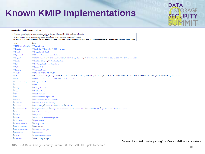## **Known KMIP Implementations**

## **DATA STORAGE SFELIRI**

#### **Commercially Available KMIP Products**

NOTE: As a general quide, an implementations noted as Commercially Available KMIP Product is included if:

- it is generally available for sale with claimed KMIP support and noted on a vendor web page as such; or

- an OASIS KMIP TC member can publicly state that some form of KMIP conformance has been verified.

The level of claimed conformance for any implementation should be verified independently or refer to the SNIA SSIF KMIP Conformance Program noted above.

| Company                     | <b>Name</b>                                                                                                                                                                                            |
|-----------------------------|--------------------------------------------------------------------------------------------------------------------------------------------------------------------------------------------------------|
| <b>BDT</b> Media Automation | Tape Libraries                                                                                                                                                                                         |
| Bloombase                   | C KeyCastle, C StoreSafe, C Spitfire Message                                                                                                                                                           |
| <b>Brocade</b>              | Encryption SAN Switch                                                                                                                                                                                  |
| Ciphercloud                 | Discover, Protect and Monitor Platform                                                                                                                                                                 |
| $\odot$ Cryptsoft           | C KMIP C Client SDK, C KMIP Java Client SDK, C KMIP CSharp Client SDK, C KMIP Python Client SDK, C KMIP C Server SDK, C KMIP Java Server SDK                                                           |
| <b>O</b> DataStax           | C DataStax Enterprise, C DataStax OpsCenter                                                                                                                                                            |
| $\bigcirc$ Dell             | Dell Compellent Storage Center Series                                                                                                                                                                  |
| <b>C</b> Fujitsu            | Eternus-SF KM                                                                                                                                                                                          |
| <b>Gazzang</b>              | Gazzang zTrustee                                                                                                                                                                                       |
| Hitachi                     | O HUS 150, O HUS VM, O VSP                                                                                                                                                                             |
| $\bigcirc$ HP               | C Enterprise Secure Key Manager, C ESL Tape Library, C MSL Tape Library, C MSL Tape Autoloader, C 3PAR StoreServ 7000, C 3PAR StoreServ 7450, C 3PAR StoreServ 10000, C HP XP7 DKA Encryption Software |
| $\bigcirc$ IBM              | XIV Storage Systems 114 and 214, C Security Key Lifecycle Manager                                                                                                                                      |
| Liason Technologies         | Encryption Key Manager                                                                                                                                                                                 |
| $\bigcirc$ Luminex          | C <sub>CGSafe</sub>                                                                                                                                                                                    |
| <b>O</b> NetApp             | NetApp Storage Encryption                                                                                                                                                                              |
| <b>O</b> Netskope           | Retskope Active                                                                                                                                                                                        |
| Coracle                     | O Oracle Key Vault                                                                                                                                                                                     |
| $\bigcirc$ P6R              | Secure KMIP Client (SKC) SDK                                                                                                                                                                           |
| $\odot$ Panzura             | O Quicksilver Cloud Storage Controller                                                                                                                                                                 |
| Perspecsys                  | Cloud Data Protection Gateway                                                                                                                                                                          |
| © Quantum                   | Scalar i6000, Scalar i500, Scalar i80, Scalar i40                                                                                                                                                      |
| <b>O</b> OuintessenceLabs   | O qCrypt Key Manager, O qCrypt-xStream Key Manager with Quantum RNG, O qClient KMIP SDK, O qVZ Virtual Zeroisation Storage System                                                                      |
| $\bigcirc$ RSA              | <b>O</b> Data Protection Manager                                                                                                                                                                       |
| SafeNet                     | <b>KeySecure</b>                                                                                                                                                                                       |
| Sepaton                     | S2100-ES3 Data Protection Appliance                                                                                                                                                                    |
| ServiceMesh                 | Agility Platform                                                                                                                                                                                       |
| Skyhigh Networks            | Skyhigh Secure                                                                                                                                                                                         |
| Thales e-Security           | ReyAuthority                                                                                                                                                                                           |
| <b>C</b> Townsend Security  | Alliance Key Manager                                                                                                                                                                                   |
| Trend Micro                 | SecureCloud                                                                                                                                                                                            |
| <b>Wenafi</b>               | Trust Protection Platform                                                                                                                                                                              |
| <b>O</b> Vormetric          | Data Security Manager                                                                                                                                                                                  |

Source - https://wiki.oasis-open.org/kmip/KnownKMIPImplementations

2015 SNIA Data Storage Security Summit. © Cryptsoft All Rights Reserved.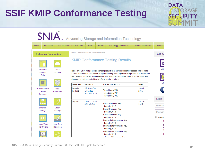## **SSIF KMIP Conformance Testing**



2015 SNIA Data Storage Security Summit. © Cryptsoft All Rights Reserved.

**DATA** 

**SECHIR** 

ORAGE